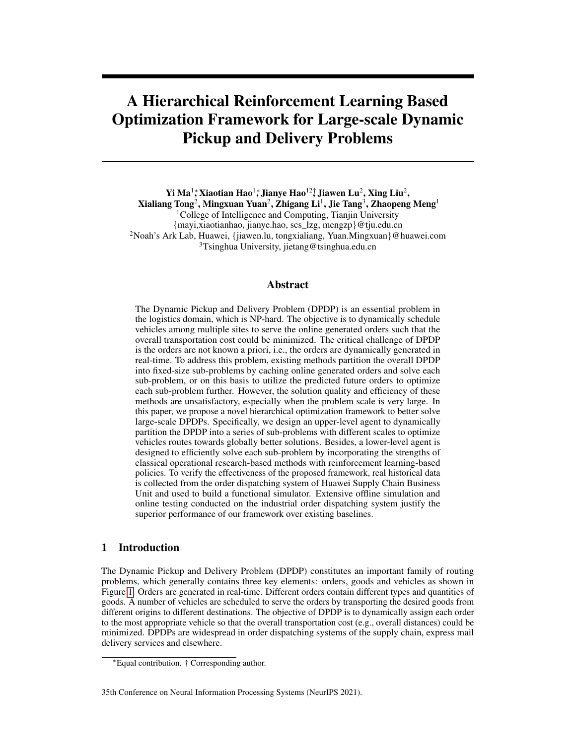# A Hierarchical Reinforcement Learning Based Optimization Framework for Large-scale Dynamic Pickup and Delivery Problems

Yi Ma<sup>1</sup>\*, Xiaotian Hao<sup>1</sup>\*, Jianye Hao<sup>12†</sup>, Jiawen Lu<sup>2</sup>, Xing Liu<sup>2</sup>,

 ${\bf X}$ ialiang Tong $^2$ , Mingxuan Yuan $^2$ , Zhigang Li $^1$ , Jie Tang $^3$ , Zhaopeng Meng $^1$ 

<sup>1</sup>College of Intelligence and Computing, Tianjin University

{mayi,xiaotianhao, jianye.hao, scs\_lzg, mengzp}@tju.edu.cn <sup>2</sup>Noah's Ark Lab, Huawei, {jiawen.lu, tongxialiang, Yuan.Mingxuan}@huawei.com <sup>3</sup>Tsinghua University, jietang@tsinghua.edu.cn

# Abstract

The Dynamic Pickup and Delivery Problem (DPDP) is an essential problem in the logistics domain, which is NP-hard. The objective is to dynamically schedule vehicles among multiple sites to serve the online generated orders such that the overall transportation cost could be minimized. The critical challenge of DPDP is the orders are not known a priori, i.e., the orders are dynamically generated in real-time. To address this problem, existing methods partition the overall DPDP into fixed-size sub-problems by caching online generated orders and solve each sub-problem, or on this basis to utilize the predicted future orders to optimize each sub-problem further. However, the solution quality and efficiency of these methods are unsatisfactory, especially when the problem scale is very large. In this paper, we propose a novel hierarchical optimization framework to better solve large-scale DPDPs. Specifically, we design an upper-level agent to dynamically partition the DPDP into a series of sub-problems with different scales to optimize vehicles routes towards globally better solutions. Besides, a lower-level agent is designed to efficiently solve each sub-problem by incorporating the strengths of classical operational research-based methods with reinforcement learning-based policies. To verify the effectiveness of the proposed framework, real historical data is collected from the order dispatching system of Huawei Supply Chain Business Unit and used to build a functional simulator. Extensive offline simulation and online testing conducted on the industrial order dispatching system justify the superior performance of our framework over existing baselines.

# 1 Introduction

The Dynamic Pickup and Delivery Problem (DPDP) constitutes an important family of routing problems, which generally contains three key elements: orders, goods and vehicles as shown in Figure 1. Orders are generated in real-time. Different orders contain different types and quantities of goods. A number of vehicles are scheduled to serve the orders by transporting the desired goods from different origins to different destinations. The objective of DPDP is to dynamically assign each order to the most appropriate vehicle so that the overall transportation cost (e.g., overall distances) could be minimized. DPDPs are widespread in order dispatching systems of the supply chain, express mail delivery services and elsewhere.

#### 35th Conference on Neural Information Processing Systems (NeurIPS 2021).

<sup>∗</sup>Equal contribution. † Corresponding author.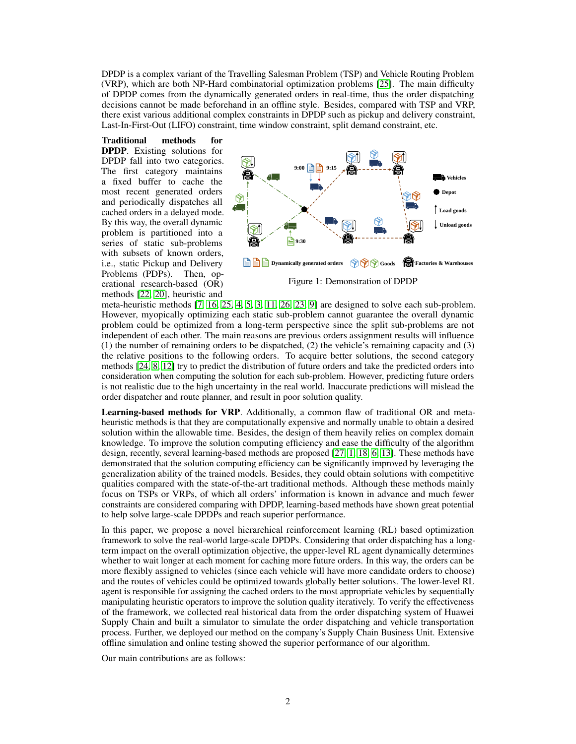DPDP is a complex variant of the Travelling Salesman Problem (TSP) and Vehicle Routing Problem (VRP), which are both NP-Hard combinatorial optimization problems [25]. The main difficulty of DPDP comes from the dynamically generated orders in real-time, thus the order dispatching decisions cannot be made beforehand in an offline style. Besides, compared with TSP and VRP, there exist various additional complex constraints in DPDP such as pickup and delivery constraint, Last-In-First-Out (LIFO) constraint, time window constraint, split demand constraint, etc.

Traditional methods for DPDP. Existing solutions for DPDP fall into two categories. The first category maintains a fixed buffer to cache the most recent generated orders and periodically dispatches all cached orders in a delayed mode. By this way, the overall dynamic problem is partitioned into a series of static sub-problems with subsets of known orders, i.e., static Pickup and Delivery Problems (PDPs). Then, operational research-based (OR) methods [22, 20], heuristic and



meta-heuristic methods [7, 16, 25, 4, 5, 3, 11, 26, 23, 9] are designed to solve each sub-problem. However, myopically optimizing each static sub-problem cannot guarantee the overall dynamic problem could be optimized from a long-term perspective since the split sub-problems are not independent of each other. The main reasons are previous orders assignment results will influence (1) the number of remaining orders to be dispatched, (2) the vehicle's remaining capacity and (3) the relative positions to the following orders. To acquire better solutions, the second category methods [24, 8, 12] try to predict the distribution of future orders and take the predicted orders into consideration when computing the solution for each sub-problem. However, predicting future orders is not realistic due to the high uncertainty in the real world. Inaccurate predictions will mislead the order dispatcher and route planner, and result in poor solution quality.

Learning-based methods for VRP. Additionally, a common flaw of traditional OR and metaheuristic methods is that they are computationally expensive and normally unable to obtain a desired solution within the allowable time. Besides, the design of them heavily relies on complex domain knowledge. To improve the solution computing efficiency and ease the difficulty of the algorithm design, recently, several learning-based methods are proposed [27, 1, 18, 6, 13]. These methods have demonstrated that the solution computing efficiency can be significantly improved by leveraging the generalization ability of the trained models. Besides, they could obtain solutions with competitive qualities compared with the state-of-the-art traditional methods. Although these methods mainly focus on TSPs or VRPs, of which all orders' information is known in advance and much fewer constraints are considered comparing with DPDP, learning-based methods have shown great potential to help solve large-scale DPDPs and reach superior performance.

In this paper, we propose a novel hierarchical reinforcement learning (RL) based optimization framework to solve the real-world large-scale DPDPs. Considering that order dispatching has a longterm impact on the overall optimization objective, the upper-level RL agent dynamically determines whether to wait longer at each moment for caching more future orders. In this way, the orders can be more flexibly assigned to vehicles (since each vehicle will have more candidate orders to choose) and the routes of vehicles could be optimized towards globally better solutions. The lower-level RL agent is responsible for assigning the cached orders to the most appropriate vehicles by sequentially manipulating heuristic operators to improve the solution quality iteratively. To verify the effectiveness of the framework, we collected real historical data from the order dispatching system of Huawei Supply Chain and built a simulator to simulate the order dispatching and vehicle transportation process. Further, we deployed our method on the company's Supply Chain Business Unit. Extensive offline simulation and online testing showed the superior performance of our algorithm.

Our main contributions are as follows: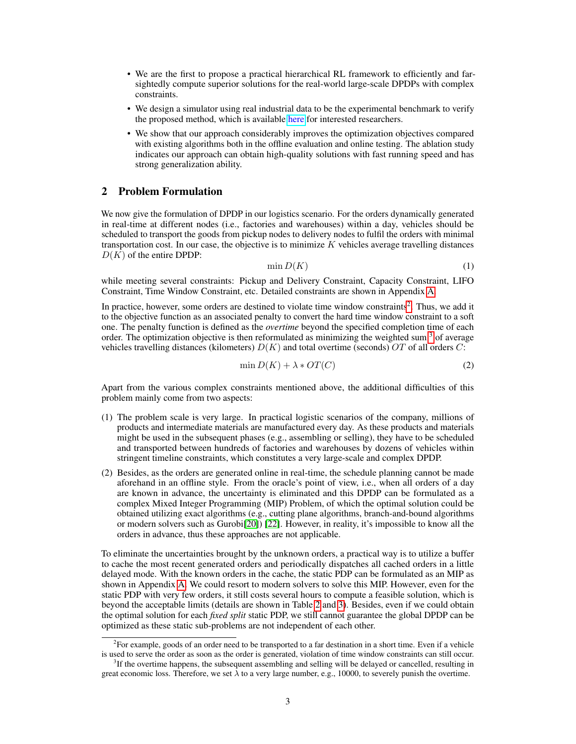- We are the first to propose a practical hierarchical RL framework to efficiently and farsightedly compute superior solutions for the real-world large-scale DPDPs with complex constraints.
- We design a simulator using real industrial data to be the experimental benchmark to verify the proposed method, which is available [here](https://github.com/huawei-noah/xingtian/tree/master/simulator/dpdp_competition/) for interested researchers.
- We show that our approach considerably improves the optimization objectives compared with existing algorithms both in the offline evaluation and online testing. The ablation study indicates our approach can obtain high-quality solutions with fast running speed and has strong generalization ability.

# 2 Problem Formulation

We now give the formulation of DPDP in our logistics scenario. For the orders dynamically generated in real-time at different nodes (i.e., factories and warehouses) within a day, vehicles should be scheduled to transport the goods from pickup nodes to delivery nodes to fulfil the orders with minimal transportation cost. In our case, the objective is to minimize  $K$  vehicles average travelling distances  $D(K)$  of the entire DPDP:

$$
\min D(K) \tag{1}
$$

while meeting several constraints: Pickup and Delivery Constraint, Capacity Constraint, LIFO Constraint, Time Window Constraint, etc. Detailed constraints are shown in Appendix A.

In practice, however, some orders are destined to violate time window constraints<sup>2</sup>. Thus, we add it to the objective function as an associated penalty to convert the hard time window constraint to a soft one. The penalty function is defined as the *overtime* beyond the specified completion time of each order. The optimization objective is then reformulated as minimizing the weighted sum  $3$  of average vehicles travelling distances (kilometers)  $D(K)$  and total overtime (seconds) OT of all orders C:

$$
\min D(K) + \lambda * OT(C) \tag{2}
$$

Apart from the various complex constraints mentioned above, the additional difficulties of this problem mainly come from two aspects:

- (1) The problem scale is very large. In practical logistic scenarios of the company, millions of products and intermediate materials are manufactured every day. As these products and materials might be used in the subsequent phases (e.g., assembling or selling), they have to be scheduled and transported between hundreds of factories and warehouses by dozens of vehicles within stringent timeline constraints, which constitutes a very large-scale and complex DPDP.
- (2) Besides, as the orders are generated online in real-time, the schedule planning cannot be made aforehand in an offline style. From the oracle's point of view, i.e., when all orders of a day are known in advance, the uncertainty is eliminated and this DPDP can be formulated as a complex Mixed Integer Programming (MIP) Problem, of which the optimal solution could be obtained utilizing exact algorithms (e.g., cutting plane algorithms, branch-and-bound algorithms or modern solvers such as Gurobi[20]) [22]. However, in reality, it's impossible to know all the orders in advance, thus these approaches are not applicable.

To eliminate the uncertainties brought by the unknown orders, a practical way is to utilize a buffer to cache the most recent generated orders and periodically dispatches all cached orders in a little delayed mode. With the known orders in the cache, the static PDP can be formulated as an MIP as shown in Appendix A. We could resort to modern solvers to solve this MIP. However, even for the static PDP with very few orders, it still costs several hours to compute a feasible solution, which is beyond the acceptable limits (details are shown in Table 2 and 3). Besides, even if we could obtain the optimal solution for each *fixed split* static PDP, we still cannot guarantee the global DPDP can be optimized as these static sub-problems are not independent of each other.

<sup>&</sup>lt;sup>2</sup>For example, goods of an order need to be transported to a far destination in a short time. Even if a vehicle is used to serve the order as soon as the order is generated, violation of time window constraints can still occur.

<sup>&</sup>lt;sup>3</sup>If the overtime happens, the subsequent assembling and selling will be delayed or cancelled, resulting in great economic loss. Therefore, we set  $\lambda$  to a very large number, e.g., 10000, to severely punish the overtime.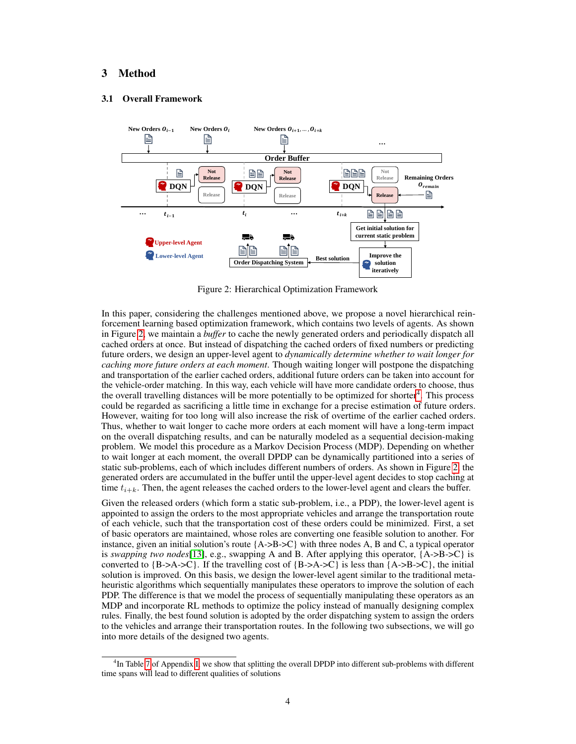# 3 Method

### 3.1 Overall Framework



Figure 2: Hierarchical Optimization Framework

In this paper, considering the challenges mentioned above, we propose a novel hierarchical reinforcement learning based optimization framework, which contains two levels of agents. As shown in Figure 2, we maintain a *buffer* to cache the newly generated orders and periodically dispatch all cached orders at once. But instead of dispatching the cached orders of fixed numbers or predicting future orders, we design an upper-level agent to *dynamically determine whether to wait longer for caching more future orders at each moment*. Though waiting longer will postpone the dispatching and transportation of the earlier cached orders, additional future orders can be taken into account for the vehicle-order matching. In this way, each vehicle will have more candidate orders to choose, thus the overall travelling distances will be more potentially to be optimized for shorter<sup>4</sup>. This process could be regarded as sacrificing a little time in exchange for a precise estimation of future orders. However, waiting for too long will also increase the risk of overtime of the earlier cached orders. Thus, whether to wait longer to cache more orders at each moment will have a long-term impact on the overall dispatching results, and can be naturally modeled as a sequential decision-making problem. We model this procedure as a Markov Decision Process (MDP). Depending on whether to wait longer at each moment, the overall DPDP can be dynamically partitioned into a series of static sub-problems, each of which includes different numbers of orders. As shown in Figure 2, the generated orders are accumulated in the buffer until the upper-level agent decides to stop caching at time  $t_{i+k}$ . Then, the agent releases the cached orders to the lower-level agent and clears the buffer.

Given the released orders (which form a static sub-problem, i.e., a PDP), the lower-level agent is appointed to assign the orders to the most appropriate vehicles and arrange the transportation route of each vehicle, such that the transportation cost of these orders could be minimized. First, a set of basic operators are maintained, whose roles are converting one feasible solution to another. For instance, given an initial solution's route  ${A\rightarrow B\rightarrow C}$  with three nodes A, B and C, a typical operator is *swapping two nodes*[13], e.g., swapping A and B. After applying this operator, {A->B->C} is converted to  ${B > A > C}$ . If the travelling cost of  ${B > A > C}$  is less than  ${A > B > C}$ , the initial solution is improved. On this basis, we design the lower-level agent similar to the traditional metaheuristic algorithms which sequentially manipulates these operators to improve the solution of each PDP. The difference is that we model the process of sequentially manipulating these operators as an MDP and incorporate RL methods to optimize the policy instead of manually designing complex rules. Finally, the best found solution is adopted by the order dispatching system to assign the orders to the vehicles and arrange their transportation routes. In the following two subsections, we will go into more details of the designed two agents.

<sup>&</sup>lt;sup>4</sup>In Table 7 of Appendix I, we show that splitting the overall DPDP into different sub-problems with different time spans will lead to different qualities of solutions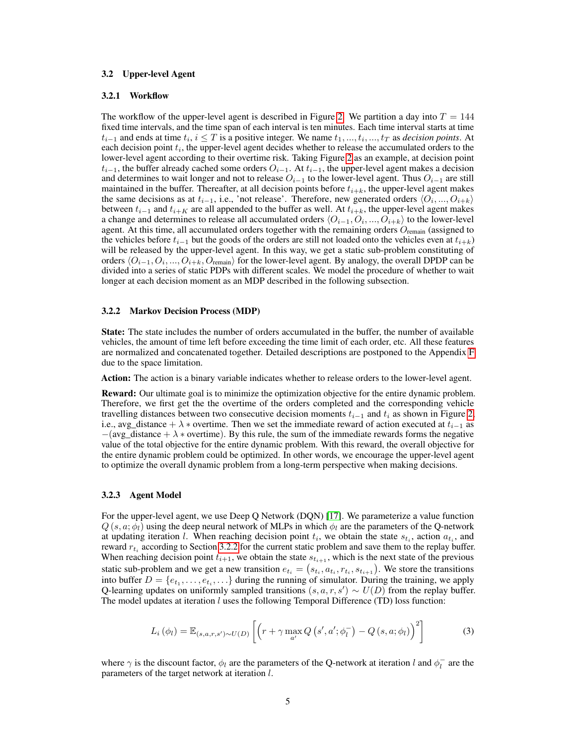### 3.2 Upper-level Agent

#### 3.2.1 Workflow

The workflow of the upper-level agent is described in Figure 2. We partition a day into  $T = 144$ fixed time intervals, and the time span of each interval is ten minutes. Each time interval starts at time  $t_{i-1}$  and ends at time  $t_i, i \leq T$  is a positive integer. We name  $t_1, ..., t_i, ..., t_T$  as *decision points*. At each decision point  $t_i$ , the upper-level agent decides whether to release the accumulated orders to the lower-level agent according to their overtime risk. Taking Figure 2 as an example, at decision point  $t_{i-1}$ , the buffer already cached some orders  $O_{i-1}$ . At  $t_{i-1}$ , the upper-level agent makes a decision and determines to wait longer and not to release  $O_{i-1}$  to the lower-level agent. Thus  $O_{i-1}$  are still maintained in the buffer. Thereafter, at all decision points before  $t_{i+k}$ , the upper-level agent makes the same decisions as at  $t_{i-1}$ , i.e., 'not release'. Therefore, new generated orders  $\langle O_i, ..., O_{i+k} \rangle$ between  $t_{i-1}$  and  $t_{i+K}$  are all appended to the buffer as well. At  $t_{i+k}$ , the upper-level agent makes a change and determines to release all accumulated orders  $\langle O_{i-1}, O_i, ..., O_{i+k} \rangle$  to the lower-level agent. At this time, all accumulated orders together with the remaining orders  $O_{\text{remain}}$  (assigned to the vehicles before  $t_{i-1}$  but the goods of the orders are still not loaded onto the vehicles even at  $t_{i+k}$ ) will be released by the upper-level agent. In this way, we get a static sub-problem constituting of orders  $\langle O_{i-1}, O_i, ..., O_{i+k}, O_{\text{remain}}\rangle$  for the lower-level agent. By analogy, the overall DPDP can be divided into a series of static PDPs with different scales. We model the procedure of whether to wait longer at each decision moment as an MDP described in the following subsection.

### 3.2.2 Markov Decision Process (MDP)

State: The state includes the number of orders accumulated in the buffer, the number of available vehicles, the amount of time left before exceeding the time limit of each order, etc. All these features are normalized and concatenated together. Detailed descriptions are postponed to the Appendix F due to the space limitation.

Action: The action is a binary variable indicates whether to release orders to the lower-level agent.

Reward: Our ultimate goal is to minimize the optimization objective for the entire dynamic problem. Therefore, we first get the the overtime of the orders completed and the corresponding vehicle travelling distances between two consecutive decision moments  $t_{i-1}$  and  $t_i$  as shown in Figure 2, i.e., avg\_distance +  $\lambda$  ∗ overtime. Then we set the immediate reward of action executed at  $t_{i-1}$  as  $-(avg\_distance + \lambda * overtime)$ . By this rule, the sum of the immediate rewards forms the negative value of the total objective for the entire dynamic problem. With this reward, the overall objective for the entire dynamic problem could be optimized. In other words, we encourage the upper-level agent to optimize the overall dynamic problem from a long-term perspective when making decisions.

#### 3.2.3 Agent Model

For the upper-level agent, we use Deep Q Network (DQN) [17]. We parameterize a value function  $Q(s, a; \phi)$  using the deep neural network of MLPs in which  $\phi_l$  are the parameters of the Q-network at updating iteration l. When reaching decision point  $t_i$ , we obtain the state  $s_{t_i}$ , action  $a_{t_i}$ , and reward  $r_{t_i}$  according to Section 3.2.2 for the current static problem and save them to the replay buffer. When reaching decision point  $t_{i+1}$ , we obtain the state  $s_{t_{i+1}}$ , which is the next state of the previous static sub-problem and we get a new transition  $e_{t_i} = (s_{t_i}, a_{t_i}, r_{t_i}, s_{t_{i+1}})$ . We store the transitions into buffer  $D = \{e_{t_1}, \ldots, e_{t_i}, \ldots\}$  during the running of simulator. During the training, we apply Q-learning updates on uniformly sampled transitions  $(s, a, r, s') \sim U(D)$  from the replay buffer. The model updates at iteration  $l$  uses the following Temporal Difference (TD) loss function:

$$
L_i(\phi_l) = \mathbb{E}_{(s,a,r,s') \sim U(D)} \left[ \left( r + \gamma \max_{a'} Q\left(s',a';\phi_l^-\right) - Q\left(s,a;\phi_l\right) \right)^2 \right] \tag{3}
$$

where  $\gamma$  is the discount factor,  $\phi_l$  are the parameters of the Q-network at iteration l and  $\phi_l^-$  are the parameters of the target network at iteration l.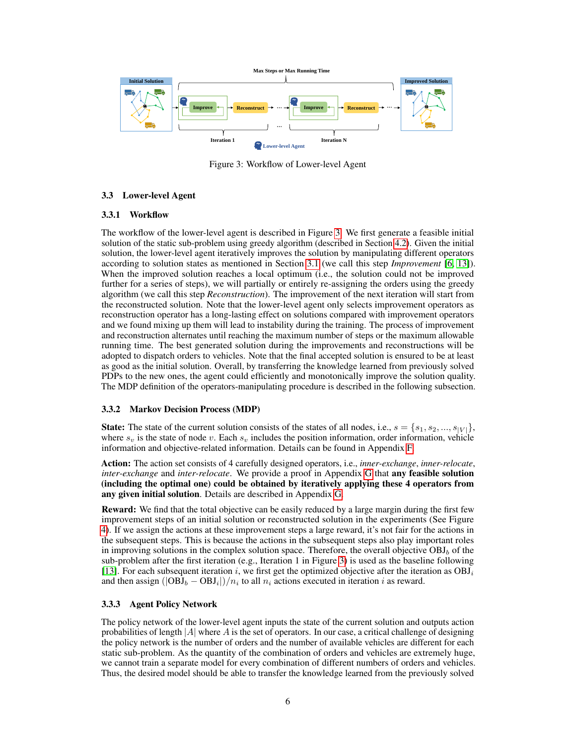

Figure 3: Workflow of Lower-level Agent

## 3.3 Lower-level Agent

## 3.3.1 Workflow

The workflow of the lower-level agent is described in Figure 3. We first generate a feasible initial solution of the static sub-problem using greedy algorithm (described in Section 4.2). Given the initial solution, the lower-level agent iteratively improves the solution by manipulating different operators according to solution states as mentioned in Section 3.1 (we call this step *Improvement* [6, 13]). When the improved solution reaches a local optimum (i.e., the solution could not be improved further for a series of steps), we will partially or entirely re-assigning the orders using the greedy algorithm (we call this step *Reconstruction*). The improvement of the next iteration will start from the reconstructed solution. Note that the lower-level agent only selects improvement operators as reconstruction operator has a long-lasting effect on solutions compared with improvement operators and we found mixing up them will lead to instability during the training. The process of improvement and reconstruction alternates until reaching the maximum number of steps or the maximum allowable running time. The best generated solution during the improvements and reconstructions will be adopted to dispatch orders to vehicles. Note that the final accepted solution is ensured to be at least as good as the initial solution. Overall, by transferring the knowledge learned from previously solved PDPs to the new ones, the agent could efficiently and monotonically improve the solution quality. The MDP definition of the operators-manipulating procedure is described in the following subsection.

### 3.3.2 Markov Decision Process (MDP)

**State:** The state of the current solution consists of the states of all nodes, i.e.,  $s = \{s_1, s_2, ..., s_{|V|}\}$ , where  $s_v$  is the state of node v. Each  $s_v$  includes the position information, order information, vehicle information and objective-related information. Details can be found in Appendix F.

Action: The action set consists of 4 carefully designed operators, i.e., *inner-exchange*, *inner-relocate*, *inter-exchange* and *inter-relocate*. We provide a proof in Appendix G that any feasible solution (including the optimal one) could be obtained by iteratively applying these 4 operators from any given initial solution. Details are described in Appendix G.

Reward: We find that the total objective can be easily reduced by a large margin during the first few improvement steps of an initial solution or reconstructed solution in the experiments (See Figure 4). If we assign the actions at these improvement steps a large reward, it's not fair for the actions in the subsequent steps. This is because the actions in the subsequent steps also play important roles in improving solutions in the complex solution space. Therefore, the overall objective  $OBD<sub>b</sub>$  of the sub-problem after the first iteration (e.g., Iteration 1 in Figure 3) is used as the baseline following [13]. For each subsequent iteration i, we first get the optimized objective after the iteration as  $OBJ_i$ and then assign  $(|OBJ_b - OBJ_i|)/n_i$  to all  $n_i$  actions executed in iteration i as reward.

## 3.3.3 Agent Policy Network

The policy network of the lower-level agent inputs the state of the current solution and outputs action probabilities of length  $|A|$  where A is the set of operators. In our case, a critical challenge of designing the policy network is the number of orders and the number of available vehicles are different for each static sub-problem. As the quantity of the combination of orders and vehicles are extremely huge, we cannot train a separate model for every combination of different numbers of orders and vehicles. Thus, the desired model should be able to transfer the knowledge learned from the previously solved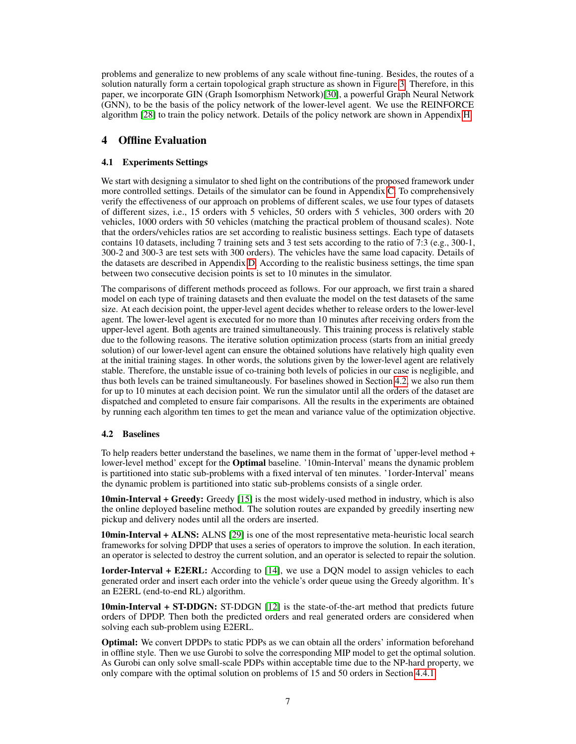problems and generalize to new problems of any scale without fine-tuning. Besides, the routes of a solution naturally form a certain topological graph structure as shown in Figure 3. Therefore, in this paper, we incorporate GIN (Graph Isomorphism Network)[30], a powerful Graph Neural Network (GNN), to be the basis of the policy network of the lower-level agent. We use the REINFORCE algorithm [28] to train the policy network. Details of the policy network are shown in Appendix H.

# 4 Offline Evaluation

# 4.1 Experiments Settings

We start with designing a simulator to shed light on the contributions of the proposed framework under more controlled settings. Details of the simulator can be found in Appendix C. To comprehensively verify the effectiveness of our approach on problems of different scales, we use four types of datasets of different sizes, i.e., 15 orders with 5 vehicles, 50 orders with 5 vehicles, 300 orders with 20 vehicles, 1000 orders with 50 vehicles (matching the practical problem of thousand scales). Note that the orders/vehicles ratios are set according to realistic business settings. Each type of datasets contains 10 datasets, including 7 training sets and 3 test sets according to the ratio of 7:3 (e.g., 300-1, 300-2 and 300-3 are test sets with 300 orders). The vehicles have the same load capacity. Details of the datasets are described in Appendix D. According to the realistic business settings, the time span between two consecutive decision points is set to 10 minutes in the simulator.

The comparisons of different methods proceed as follows. For our approach, we first train a shared model on each type of training datasets and then evaluate the model on the test datasets of the same size. At each decision point, the upper-level agent decides whether to release orders to the lower-level agent. The lower-level agent is executed for no more than 10 minutes after receiving orders from the upper-level agent. Both agents are trained simultaneously. This training process is relatively stable due to the following reasons. The iterative solution optimization process (starts from an initial greedy solution) of our lower-level agent can ensure the obtained solutions have relatively high quality even at the initial training stages. In other words, the solutions given by the lower-level agent are relatively stable. Therefore, the unstable issue of co-training both levels of policies in our case is negligible, and thus both levels can be trained simultaneously. For baselines showed in Section 4.2, we also run them for up to 10 minutes at each decision point. We run the simulator until all the orders of the dataset are dispatched and completed to ensure fair comparisons. All the results in the experiments are obtained by running each algorithm ten times to get the mean and variance value of the optimization objective.

# 4.2 Baselines

To help readers better understand the baselines, we name them in the format of 'upper-level method + lower-level method' except for the **Optimal** baseline. '10min-Interval' means the dynamic problem is partitioned into static sub-problems with a fixed interval of ten minutes. '1order-Interval' means the dynamic problem is partitioned into static sub-problems consists of a single order.

10min-Interval + Greedy: Greedy [15] is the most widely-used method in industry, which is also the online deployed baseline method. The solution routes are expanded by greedily inserting new pickup and delivery nodes until all the orders are inserted.

**10min-Interval + ALNS:** ALNS [29] is one of the most representative meta-heuristic local search frameworks for solving DPDP that uses a series of operators to improve the solution. In each iteration, an operator is selected to destroy the current solution, and an operator is selected to repair the solution.

**1order-Interval + E2ERL:** According to [14], we use a DQN model to assign vehicles to each generated order and insert each order into the vehicle's order queue using the Greedy algorithm. It's an E2ERL (end-to-end RL) algorithm.

10min-Interval + ST-DDGN: ST-DDGN [12] is the state-of-the-art method that predicts future orders of DPDP. Then both the predicted orders and real generated orders are considered when solving each sub-problem using E2ERL.

Optimal: We convert DPDPs to static PDPs as we can obtain all the orders' information beforehand in offline style. Then we use Gurobi to solve the corresponding MIP model to get the optimal solution. As Gurobi can only solve small-scale PDPs within acceptable time due to the NP-hard property, we only compare with the optimal solution on problems of 15 and 50 orders in Section 4.4.1.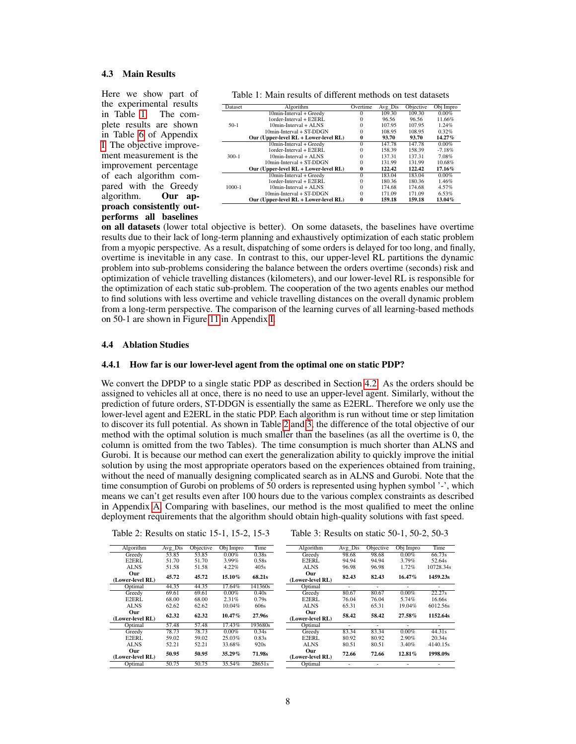### 4.3 Main Results

Here we show part of the experimental results in Table 1. The complete results are shown in Table 6 of Appendix I. The objective improvement measurement is the improvement percentage of each algorithm compared with the Greedy<br>algorithm. Our ap-Our approach consistently outperforms all baselines

Table 1: Main results of different methods on test datasets

| Dataset | Algorithm                             | Overtime     | $Avg$ $Dis$ | Objective | Obj Impro |
|---------|---------------------------------------|--------------|-------------|-----------|-----------|
| $50-1$  | 10min-Interval + Greedy               | $^{(1)}$     | 109.30      | 109.30    | $0.00\%$  |
|         | 1order-Interval + E2ERL               | 0            | 96.56       | 96.56     | 11.66%    |
|         | $10min-Interval + A LNS$              | 0            | 107.95      | 107.95    | 1.24%     |
|         | 10min-Interval + ST-DDGN              | 0            | 108.95      | 108.95    | 0.32%     |
|         | Our (Upper-level RL + Lower-level RL) | $\bf{0}$     | 93.70       | 93.70     | 14.27%    |
| $300-1$ | 10min-Interval + Greedy               | $\Omega$     | 147.78      | 147.78    | $0.00\%$  |
|         | 1order-Interval + E2ERL               | 0            | 158.39      | 158.39    | $-7.18%$  |
|         | $10min-Interval + A LNS$              | 0            | 137.31      | 137.31    | 7.08%     |
|         | $10min-Interval + ST-DDGN$            | $\Omega$     | 131.99      | 131.99    | 10.68%    |
|         | Our (Upper-level RL + Lower-level RL) | $\mathbf{0}$ | 122.42      | 122.42    | 17.16%    |
| 1000-1  | 10min-Interval + Greedy               | $\Omega$     | 183.04      | 183.04    | 0.00%     |
|         | 1order-Interval + E2ERL               | 0            | 180.36      | 180.36    | 1.46%     |
|         | $10min-Interval + A LNS$              | $\Omega$     | 174.68      | 174.68    | 4.57%     |
|         | $10min-Interval + ST-DDGN$            | $\Omega$     | 171.09      | 171.09    | 6.53%     |
|         | Our (Upper-level RL + Lower-level RL) | 0            | 159.18      | 159.18    | 13.04%    |

on all datasets (lower total objective is better). On some datasets, the baselines have overtime results due to their lack of long-term planning and exhaustively optimization of each static problem from a myopic perspective. As a result, dispatching of some orders is delayed for too long, and finally, overtime is inevitable in any case. In contrast to this, our upper-level RL partitions the dynamic problem into sub-problems considering the balance between the orders overtime (seconds) risk and optimization of vehicle travelling distances (kilometers), and our lower-level RL is responsible for the optimization of each static sub-problem. The cooperation of the two agents enables our method to find solutions with less overtime and vehicle travelling distances on the overall dynamic problem from a long-term perspective. The comparison of the learning curves of all learning-based methods on 50-1 are shown in Figure 11 in Appendix I.

### 4.4 Ablation Studies

### 4.4.1 How far is our lower-level agent from the optimal one on static PDP?

We convert the DPDP to a single static PDP as described in Section 4.2. As the orders should be assigned to vehicles all at once, there is no need to use an upper-level agent. Similarly, without the prediction of future orders, ST-DDGN is essentially the same as E2ERL. Therefore we only use the lower-level agent and E2ERL in the static PDP. Each algorithm is run without time or step limitation to discover its full potential. As shown in Table 2 and 3, the difference of the total objective of our method with the optimal solution is much smaller than the baselines (as all the overtime is 0, the column is omitted from the two Tables). The time consumption is much shorter than ALNS and Gurobi. It is because our method can exert the generalization ability to quickly improve the initial solution by using the most appropriate operators based on the experiences obtained from training, without the need of manually designing complicated search as in ALNS and Gurobi. Note that the time consumption of Gurobi on problems of 50 orders is represented using hyphen symbol '-', which means we can't get results even after 100 hours due to the various complex constraints as described in Appendix A. Comparing with baselines, our method is the most qualified to meet the online deployment requirements that the algorithm should obtain high-quality solutions with fast speed.

| Table 2: Results on static 15-1, 15-2, 15-3 |  |  |  |
|---------------------------------------------|--|--|--|
|---------------------------------------------|--|--|--|

```
Table 3: Results on static 50-1, 50-2, 50-3
```

| Algorithm        | Avg Dis | Objective | Obj Impro | Time    | Algorithm      |
|------------------|---------|-----------|-----------|---------|----------------|
| Greedy           | 53.85   | 53.85     | $0.00\%$  | 0.38s   | Greedy         |
| E2ERL            | 51.70   | 51.70     | 3.99%     | 0.58s   | E2ERL          |
| <b>ALNS</b>      | 51.58   | 51.58     | 4.22%     | 405s    | ALNS           |
| Our              | 45.72   | 45.72     |           |         | Our            |
| (Lower-level RL) |         |           | 15.10%    | 68.21s  | (Lower-level R |
| Optimal          | 44.35   | 44.35     | 17.64%    | 141360s | Optimal        |
| Greedy           | 69.61   | 69.61     | $0.00\%$  | 0.40s   | Greedy         |
| E2ERL            | 68.00   | 68.00     | 2.31%     | 0.79s   | E2ERL          |
| <b>ALNS</b>      | 62.62   | 62.62     | 10.04%    | 606s    | <b>ALNS</b>    |
| Our              | 62.32   |           | $10.47\%$ |         | Our            |
| (Lower-level RL) |         | 62.32     |           | 27.96s  | (Lower-level R |
| Optimal          | 57.48   | 57.48     | 17.43%    | 193680s | Optimal        |
| Greedy           | 78.73   | 78.73     | $0.00\%$  | 0.34s   | Greedy         |
| E2ERL            | 59.02   | 59.02     | 25.03%    | 0.83s   | E2ERL          |
| ALNS             | 52.21   | 52.21     | 33.68%    | 920s    | ALNS           |
| Our              |         |           |           |         | Our            |
| (Lower-level RL) | 50.95   | 50.95     | 35.29%    | 71.98s  | (Lower-level R |
| Optimal          | 50.75   | 50.75     | 35.54%    | 28651s  | Optimal        |

| Algorithm        | Avg Dis | Objective | Obj Impro | Time      |
|------------------|---------|-----------|-----------|-----------|
| Greedy           | 98.68   | 98.68     | 0.00%     | 66.73s    |
| E2ERL            | 94.94   | 94.94     | 3.79%     | 52.64s    |
| ALNS             | 96.98   | 96.98     | 1.72%     | 10728.34s |
| Our              | 82.43   | 82.43     | 16.47%    | 1459.23s  |
| (Lower-level RL) |         |           |           |           |
| Optimal          |         |           |           |           |
| Greedy           | 80.67   | 80.67     | 0.00%     | 22.27s    |
| E2ERL            | 76.04   | 76.04     | 5.74%     | 16.66s    |
| ALNS             | 65.31   | 65.31     | 19.04%    | 6012.56s  |
| Our              |         |           |           |           |
| (Lower-level RL) | 58.42   | 58.42     | 27.58%    | 1152.64s  |
| Optimal          |         |           |           |           |
| Greedy           | 83.34   | 83.34     | 0.00%     | 44.31s    |
| E2ERL            | 80.92   | 80.92     | 2.90%     | 20.34s    |
| ALNS             | 80.51   | 80.51     | 3.40%     | 4140.15s  |
| Our              |         |           |           |           |
| (Lower-level RL) | 72.66   | 72.66     | 12.81%    | 1998.09s  |
| Optimal          |         |           |           |           |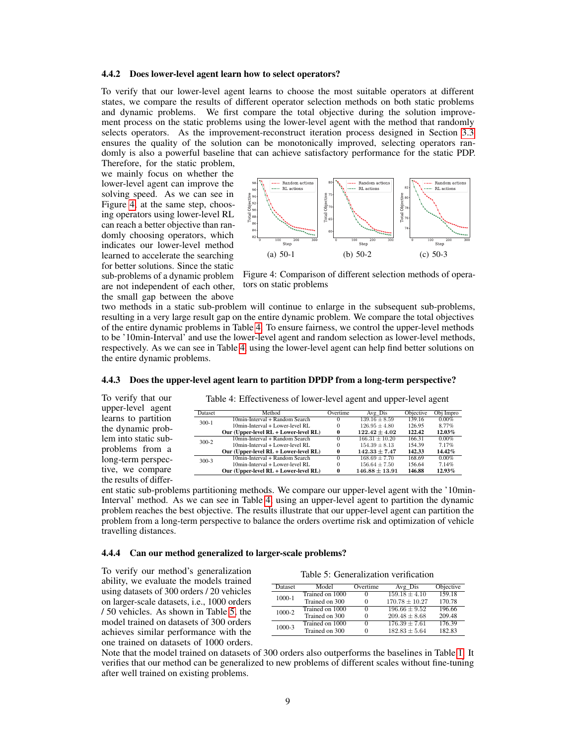#### 4.4.2 Does lower-level agent learn how to select operators?

To verify that our lower-level agent learns to choose the most suitable operators at different states, we compare the results of different operator selection methods on both static problems and dynamic problems. We first compare the total objective during the solution improvement process on the static problems using the lower-level agent with the method that randomly selects operators. As the improvement-reconstruct iteration process designed in Section 3.3 ensures the quality of the solution can be monotonically improved, selecting operators randomly is also a powerful baseline that can achieve satisfactory performance for the static PDP.

Therefore, for the static problem, we mainly focus on whether the lower-level agent can improve the solving speed. As we can see in Figure 4, at the same step, choosing operators using lower-level RL can reach a better objective than randomly choosing operators, which indicates our lower-level method learned to accelerate the searching for better solutions. Since the static sub-problems of a dynamic problem are not independent of each other, the small gap between the above

To verify that our upper-level agent learns to partition the dynamic problem into static subproblems from a long-term perspective, we compare the results of differ-



Figure 4: Comparison of different selection methods of operators on static problems

two methods in a static sub-problem will continue to enlarge in the subsequent sub-problems, resulting in a very large result gap on the entire dynamic problem. We compare the total objectives of the entire dynamic problems in Table 4. To ensure fairness, we control the upper-level methods to be '10min-Interval' and use the lower-level agent and random selection as lower-level methods, respectively. As we can see in Table 4, using the lower-level agent can help find better solutions on the entire dynamic problems.

| Method<br>10min-Interval + Random Search | Overtime | Avg Dis            | Objective |                        |
|------------------------------------------|----------|--------------------|-----------|------------------------|
|                                          |          |                    |           | $\overline{Obj}$ Impro |
|                                          | $_{0}$   | $139.16 \pm 8.59$  | 139.16    | $0.00\%$               |
| $10$ min-Interval + Lower-level RL       | 0        | $126.95 \pm 4.80$  | 126.95    | 8.77%                  |
| Our (Upper-level RL + Lower-level RL)    |          | $122.42 \pm 4.02$  | 122.42    | 12.03%                 |
| 10min-Interval + Random Search           | 0        | $166.31 + 10.20$   | 166.31    | $0.00\%$               |
| $10$ min-Interval + Lower-level RL       | 0        | $154.39 + 8.13$    | 154.39    | 7.17%                  |
| Our (Upper-level RL + Lower-level RL)    |          | $142.33 \pm 7.47$  | 142.33    | 14.42%                 |
| 10min-Interval + Random Search           | 0        | $168.69 + 7.70$    | 168.69    | $0.00\%$               |
| $10$ min-Interval + Lower-level RL       | 0        | $156.64 \pm 7.50$  | 156.64    | 7.14%                  |
| Our (Upper-level RL + Lower-level RL)    |          | $146.88 \pm 13.91$ | 146.88    | 12.93%                 |
|                                          |          |                    |           |                        |

Table 4: Effectiveness of lower-level agent and upper-level agent

### 4.4.3 Does the upper-level agent learn to partition DPDP from a long-term perspective?

ent static sub-problems partitioning methods. We compare our upper-level agent with the '10min-Interval' method. As we can see in Table 4, using an upper-level agent to partition the dynamic problem reaches the best objective. The results illustrate that our upper-level agent can partition the problem from a long-term perspective to balance the orders overtime risk and optimization of vehicle travelling distances.

### 4.4.4 Can our method generalized to larger-scale problems?

To verify our method's generalization ability, we evaluate the models trained using datasets of 300 orders / 20 vehicles on larger-scale datasets, i.e., 1000 orders / 50 vehicles. As shown in Table 5, the model trained on datasets of 300 orders achieves similar performance with the one trained on datasets of 1000 orders.

| Dataset | Model           | Overtime | Avg Dis           | Objective |
|---------|-----------------|----------|-------------------|-----------|
| 1000-1  | Trained on 1000 | $\Omega$ | $159.18 \pm 4.10$ | 159.18    |
|         | Trained on 300  | $\Omega$ | $170.78 + 10.27$  | 170.78    |
| 1000-2  | Trained on 1000 | $\Omega$ | $196.66 + 9.52$   | 196.66    |
|         | Trained on 300  | $\Omega$ | $209.48 \pm 8.68$ | 209.48    |
| 1000-3  | Trained on 1000 | $\Omega$ | $176.39 \pm 7.61$ | 176.39    |
|         | Trained on 300  | $\Omega$ | $182.83 \pm 5.64$ | 182.83    |

Note that the model trained on datasets of 300 orders also outperforms the baselines in Table 1. It verifies that our method can be generalized to new problems of different scales without fine-tuning after well trained on existing problems.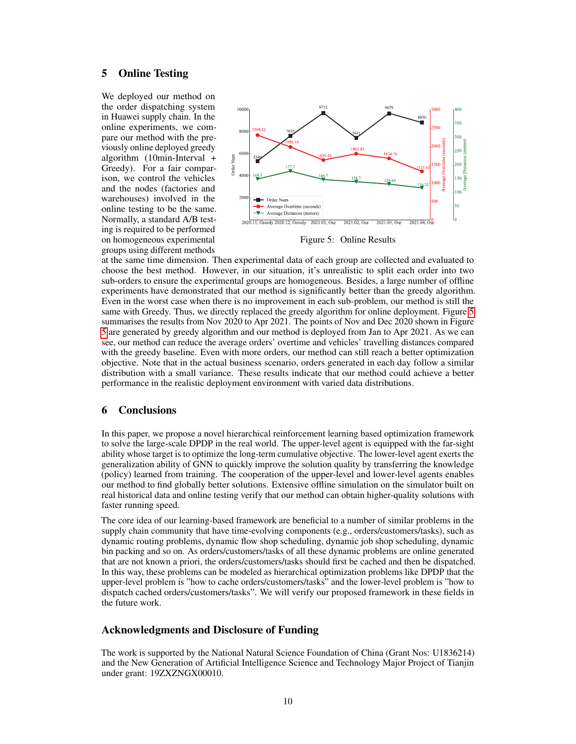# 5 Online Testing

We deployed our method on the order dispatching system in Huawei supply chain. In the online experiments, we compare our method with the previously online deployed greedy algorithm (10min-Interval + Greedy). For a fair comparison, we control the vehicles and the nodes (factories and warehouses) involved in the online testing to be the same. Normally, a standard A/B testing is required to be performed on homogeneous experimental groups using different methods



Figure 5: Online Results

at the same time dimension. Then experimental data of each group are collected and evaluated to choose the best method. However, in our situation, it's unrealistic to split each order into two sub-orders to ensure the experimental groups are homogeneous. Besides, a large number of offline experiments have demonstrated that our method is significantly better than the greedy algorithm. Even in the worst case when there is no improvement in each sub-problem, our method is still the same with Greedy. Thus, we directly replaced the greedy algorithm for online deployment. Figure 5 summarises the results from Nov 2020 to Apr 2021. The points of Nov and Dec 2020 shown in Figure 5 are generated by greedy algorithm and our method is deployed from Jan to Apr 2021. As we can see, our method can reduce the average orders' overtime and vehicles' travelling distances compared with the greedy baseline. Even with more orders, our method can still reach a better optimization objective. Note that in the actual business scenario, orders generated in each day follow a similar distribution with a small variance. These results indicate that our method could achieve a better performance in the realistic deployment environment with varied data distributions.

# 6 Conclusions

In this paper, we propose a novel hierarchical reinforcement learning based optimization framework to solve the large-scale DPDP in the real world. The upper-level agent is equipped with the far-sight ability whose target is to optimize the long-term cumulative objective. The lower-level agent exerts the generalization ability of GNN to quickly improve the solution quality by transferring the knowledge (policy) learned from training. The cooperation of the upper-level and lower-level agents enables our method to find globally better solutions. Extensive offline simulation on the simulator built on real historical data and online testing verify that our method can obtain higher-quality solutions with faster running speed.

The core idea of our learning-based framework are beneficial to a number of similar problems in the supply chain community that have time-evolving components (e.g., orders/customers/tasks), such as dynamic routing problems, dynamic flow shop scheduling, dynamic job shop scheduling, dynamic bin packing and so on. As orders/customers/tasks of all these dynamic problems are online generated that are not known a priori, the orders/customers/tasks should first be cached and then be dispatched. In this way, these problems can be modeled as hierarchical optimization problems like DPDP that the upper-level problem is "how to cache orders/customers/tasks" and the lower-level problem is "how to dispatch cached orders/customers/tasks". We will verify our proposed framework in these fields in the future work.

## Acknowledgments and Disclosure of Funding

The work is supported by the National Natural Science Foundation of China (Grant Nos: U1836214) and the New Generation of Artificial Intelligence Science and Technology Major Project of Tianjin under grant: 19ZXZNGX00010.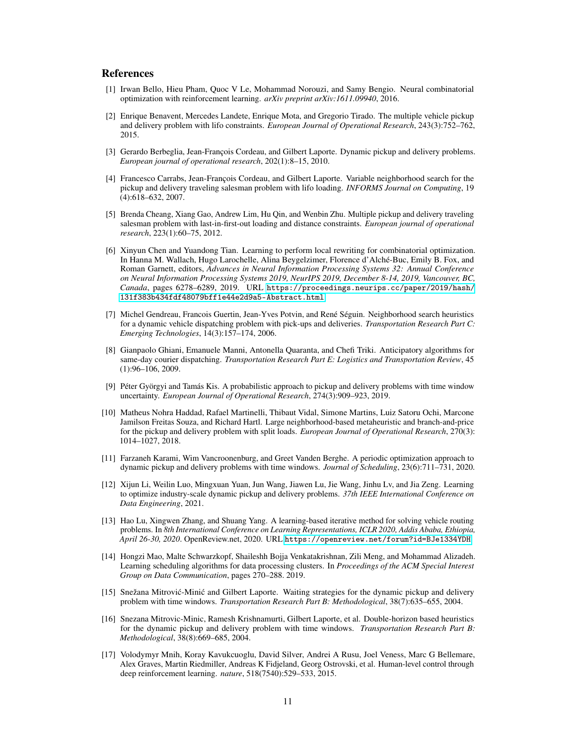## References

- [1] Irwan Bello, Hieu Pham, Quoc V Le, Mohammad Norouzi, and Samy Bengio. Neural combinatorial optimization with reinforcement learning. *arXiv preprint arXiv:1611.09940*, 2016.
- [2] Enrique Benavent, Mercedes Landete, Enrique Mota, and Gregorio Tirado. The multiple vehicle pickup and delivery problem with lifo constraints. *European Journal of Operational Research*, 243(3):752–762, 2015.
- [3] Gerardo Berbeglia, Jean-François Cordeau, and Gilbert Laporte. Dynamic pickup and delivery problems. *European journal of operational research*, 202(1):8–15, 2010.
- [4] Francesco Carrabs, Jean-François Cordeau, and Gilbert Laporte. Variable neighborhood search for the pickup and delivery traveling salesman problem with lifo loading. *INFORMS Journal on Computing*, 19 (4):618–632, 2007.
- [5] Brenda Cheang, Xiang Gao, Andrew Lim, Hu Qin, and Wenbin Zhu. Multiple pickup and delivery traveling salesman problem with last-in-first-out loading and distance constraints. *European journal of operational research*, 223(1):60–75, 2012.
- [6] Xinyun Chen and Yuandong Tian. Learning to perform local rewriting for combinatorial optimization. In Hanna M. Wallach, Hugo Larochelle, Alina Beygelzimer, Florence d'Alché-Buc, Emily B. Fox, and Roman Garnett, editors, *Advances in Neural Information Processing Systems 32: Annual Conference on Neural Information Processing Systems 2019, NeurIPS 2019, December 8-14, 2019, Vancouver, BC, Canada*, pages 6278–6289, 2019. URL [https://proceedings.neurips.cc/paper/2019/hash/](https://proceedings.neurips.cc/paper/2019/hash/131f383b434fdf48079bff1e44e2d9a5-Abstract.html) [131f383b434fdf48079bff1e44e2d9a5-Abstract.html](https://proceedings.neurips.cc/paper/2019/hash/131f383b434fdf48079bff1e44e2d9a5-Abstract.html).
- [7] Michel Gendreau, Francois Guertin, Jean-Yves Potvin, and René Séguin. Neighborhood search heuristics for a dynamic vehicle dispatching problem with pick-ups and deliveries. *Transportation Research Part C: Emerging Technologies*, 14(3):157–174, 2006.
- [8] Gianpaolo Ghiani, Emanuele Manni, Antonella Quaranta, and Chefi Triki. Anticipatory algorithms for same-day courier dispatching. *Transportation Research Part E: Logistics and Transportation Review*, 45 (1):96–106, 2009.
- [9] Péter Györgyi and Tamás Kis. A probabilistic approach to pickup and delivery problems with time window uncertainty. *European Journal of Operational Research*, 274(3):909–923, 2019.
- [10] Matheus Nohra Haddad, Rafael Martinelli, Thibaut Vidal, Simone Martins, Luiz Satoru Ochi, Marcone Jamilson Freitas Souza, and Richard Hartl. Large neighborhood-based metaheuristic and branch-and-price for the pickup and delivery problem with split loads. *European Journal of Operational Research*, 270(3): 1014–1027, 2018.
- [11] Farzaneh Karami, Wim Vancroonenburg, and Greet Vanden Berghe. A periodic optimization approach to dynamic pickup and delivery problems with time windows. *Journal of Scheduling*, 23(6):711–731, 2020.
- [12] Xijun Li, Weilin Luo, Mingxuan Yuan, Jun Wang, Jiawen Lu, Jie Wang, Jinhu Lv, and Jia Zeng. Learning to optimize industry-scale dynamic pickup and delivery problems. *37th IEEE International Conference on Data Engineering*, 2021.
- [13] Hao Lu, Xingwen Zhang, and Shuang Yang. A learning-based iterative method for solving vehicle routing problems. In *8th International Conference on Learning Representations, ICLR 2020, Addis Ababa, Ethiopia, April 26-30, 2020*. OpenReview.net, 2020. URL <https://openreview.net/forum?id=BJe1334YDH>.
- [14] Hongzi Mao, Malte Schwarzkopf, Shaileshh Bojja Venkatakrishnan, Zili Meng, and Mohammad Alizadeh. Learning scheduling algorithms for data processing clusters. In *Proceedings of the ACM Special Interest Group on Data Communication*, pages 270–288. 2019.
- [15] Snežana Mitrović-Minić and Gilbert Laporte. Waiting strategies for the dynamic pickup and delivery problem with time windows. *Transportation Research Part B: Methodological*, 38(7):635–655, 2004.
- [16] Snezana Mitrovic-Minic, Ramesh Krishnamurti, Gilbert Laporte, et al. Double-horizon based heuristics for the dynamic pickup and delivery problem with time windows. *Transportation Research Part B: Methodological*, 38(8):669–685, 2004.
- [17] Volodymyr Mnih, Koray Kavukcuoglu, David Silver, Andrei A Rusu, Joel Veness, Marc G Bellemare, Alex Graves, Martin Riedmiller, Andreas K Fidjeland, Georg Ostrovski, et al. Human-level control through deep reinforcement learning. *nature*, 518(7540):529–533, 2015.